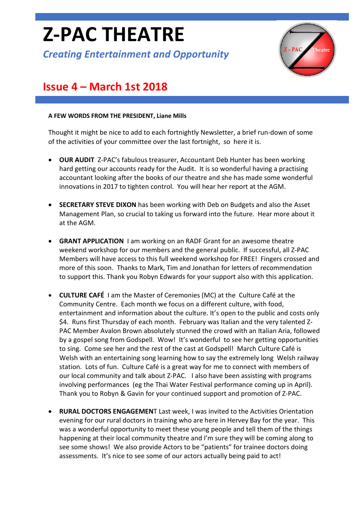# **Z-PAC THEATRE**

*Creating Entertainment and Opportunity*



## **Issue 4 – March 1st 2018**

#### **A FEW WORDS FROM THE PRESIDENT, Liane Mills**

Thought it might be nice to add to each fortnightly Newsletter, a brief run-down of some of the activities of your committee over the last fortnight, so here it is.

- **OUR AUDIT** Z-PAC's fabulous treasurer, Accountant Deb Hunter has been working hard getting our accounts ready for the Audit. It is so wonderful having a practising accountant looking after the books of our theatre and she has made some wonderful innovations in 2017 to tighten control. You will hear her report at the AGM.
- **SECRETARY STEVE DIXON** has been working with Deb on Budgets and also the Asset Management Plan, so crucial to taking us forward into the future. Hear more about it at the AGM.
- **GRANT APPLICATION** I am working on an RADF Grant for an awesome theatre weekend workshop for our members and the general public. If successful, all Z-PAC Members will have access to this full weekend workshop for FREE! Fingers crossed and more of this soon. Thanks to Mark, Tim and Jonathan for letters of recommendation to support this. Thank you Robyn Edwards for your support also with this application.
- **CULTURE CAFÉ** I am the Master of Ceremonies (MC) at the Culture Café at the Community Centre. Each month we focus on a different culture, with food, entertainment and information about the culture. It's open to the public and costs only \$4. Runs first Thursday of each month. February was Italian and the very talented Z-PAC Member Avalon Brown absolutely stunned the crowd with an Italian Aria, followed by a gospel song from Godspell. Wow! It's wonderful to see her getting opportunities to sing. Come see her and the rest of the cast at Godspell! March Culture Café is Welsh with an entertaining song learning how to say the extremely long Welsh railway station. Lots of fun. Culture Café is a great way for me to connect with members of our local community and talk about Z-PAC. I also have been assisting with programs involving performances (eg the Thai Water Festival performance coming up in April). Thank you to Robyn & Gavin for your continued support and promotion of Z-PAC.
- **RURAL DOCTORS ENGAGEMEN**T Last week, I was invited to the Activities Orientation evening for our rural doctors in training who are here in Hervey Bay for the year. This was a wonderful opportunity to meet these young people and tell them of the things happening at their local community theatre and I'm sure they will be coming along to see some shows! We also provide Actors to be "patients" for trainee doctors doing assessments. It's nice to see some of our actors actually being paid to act!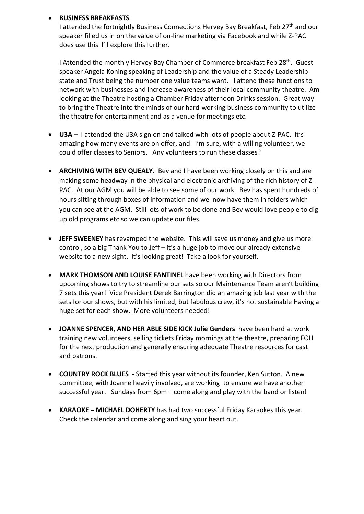#### • **BUSINESS BREAKFASTS**

I attended the fortnightly Business Connections Hervey Bay Breakfast, Feb 27<sup>th</sup> and our speaker filled us in on the value of on-line marketing via Facebook and while Z-PAC does use this I'll explore this further.

I Attended the monthly Hervey Bay Chamber of Commerce breakfast Feb 28<sup>th</sup>. Guest speaker Angela Koning speaking of Leadership and the value of a Steady Leadership state and Trust being the number one value teams want. I attend these functions to network with businesses and increase awareness of their local community theatre. Am looking at the Theatre hosting a Chamber Friday afternoon Drinks session. Great way to bring the Theatre into the minds of our hard-working business community to utilize the theatre for entertainment and as a venue for meetings etc.

- **U3A**  I attended the U3A sign on and talked with lots of people about Z-PAC. It's amazing how many events are on offer, and I'm sure, with a willing volunteer, we could offer classes to Seniors. Any volunteers to run these classes?
- **ARCHIVING WITH BEV QUEALY.** Bev and I have been working closely on this and are making some headway in the physical and electronic archiving of the rich history of Z-PAC. At our AGM you will be able to see some of our work. Bev has spent hundreds of hours sifting through boxes of information and we now have them in folders which you can see at the AGM. Still lots of work to be done and Bev would love people to dig up old programs etc so we can update our files.
- **JEFF SWEENEY** has revamped the website. This will save us money and give us more control, so a big Thank You to Jeff – it's a huge job to move our already extensive website to a new sight. It's looking great! Take a look for yourself.
- **MARK THOMSON AND LOUISE FANTINEL** have been working with Directors from upcoming shows to try to streamline our sets so our Maintenance Team aren't building 7 sets this year! Vice President Derek Barrington did an amazing job last year with the sets for our shows, but with his limited, but fabulous crew, it's not sustainable Having a huge set for each show. More volunteers needed!
- **JOANNE SPENCER, AND HER ABLE SIDE KICK Julie Genders** have been hard at work training new volunteers, selling tickets Friday mornings at the theatre, preparing FOH for the next production and generally ensuring adequate Theatre resources for cast and patrons.
- **COUNTRY ROCK BLUES -** Started this year without its founder, Ken Sutton. A new committee, with Joanne heavily involved, are working to ensure we have another successful year. Sundays from 6pm – come along and play with the band or listen!
- **KARAOKE – MICHAEL DOHERTY** has had two successful Friday Karaokes this year. Check the calendar and come along and sing your heart out.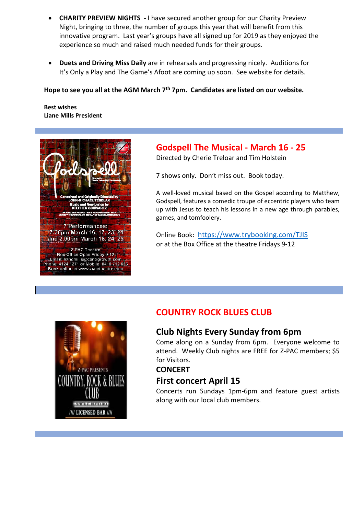- **CHARITY PREVIEW NIGHTS -** I have secured another group for our Charity Preview Night, bringing to three, the number of groups this year that will benefit from this innovative program. Last year's groups have all signed up for 2019 as they enjoyed the experience so much and raised much needed funds for their groups.
- **Duets and Driving Miss Daily** are in rehearsals and progressing nicely. Auditions for It's Only a Play and The Game's Afoot are coming up soon. See website for details.

**Hope to see you all at the AGM March 7th 7pm. Candidates are listed on our website.**

**Best wishes Liane Mills President**



#### **Godspell The Musical - March 16 - 25**

Directed by Cherie Treloar and Tim Holstein

7 shows only. Don't miss out. Book today.

A well-loved musical based on the Gospel according to Matthew, Godspell, features a comedic troupe of eccentric players who team up with Jesus to teach his lessons in a new age through parables, games, and tomfoolery.

Online Book: <https://www.trybooking.com/TJIS> or at the Box Office at the theatre Fridays 9-12



#### **COUNTRY ROCK BLUES CLUB**

#### **Club Nights Every Sunday from 6pm**

Come along on a Sunday from 6pm. Everyone welcome to attend. Weekly Club nights are FREE for Z-PAC members; \$5 for Visitors.

#### **CONCERT**

#### **First concert April 15**

Concerts run Sundays 1pm-6pm and feature guest artists along with our local club members.